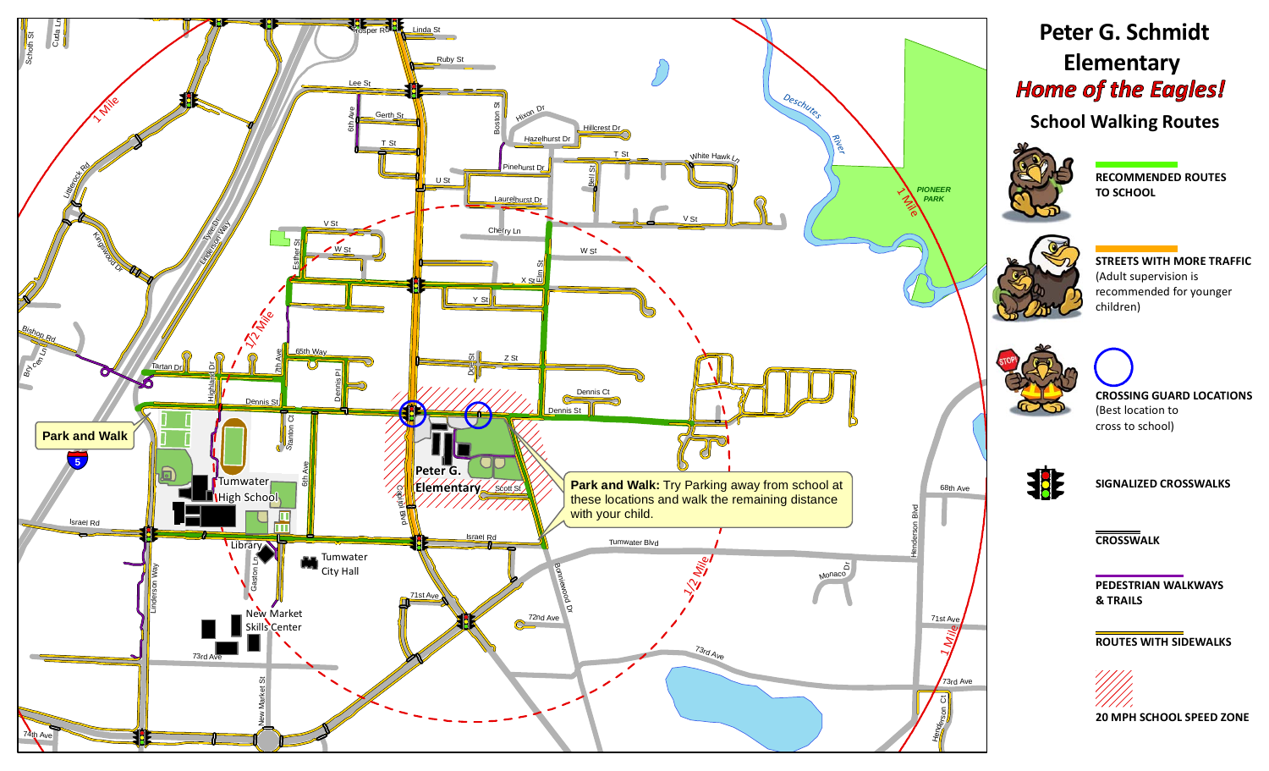